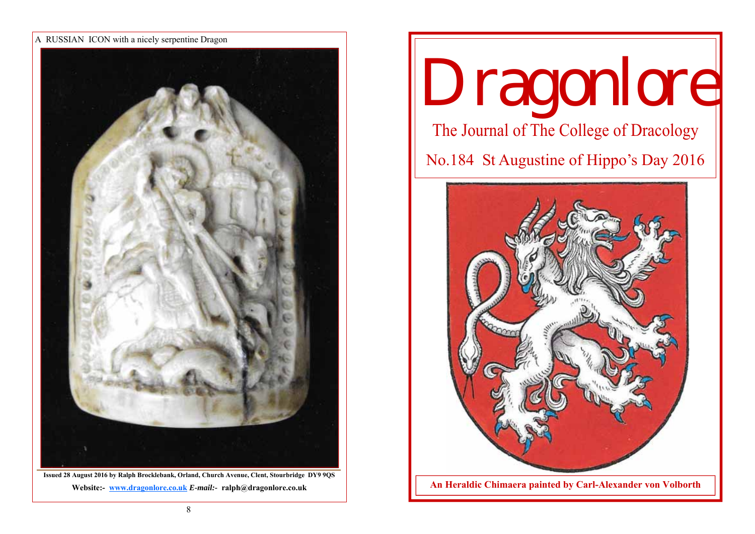

**Issued 28 August 2016 by Ralph Brocklebank, Orland, Church Avenue, Clent, Stourbridge DY9 9QS Website:- www.dragonlore.co.uk** *E-mail:-* **ralph@dragonlore.co.uk**

Dragonlore The Journal of The College of Dracology No.184 St Augustine of Hippo's Day 2016

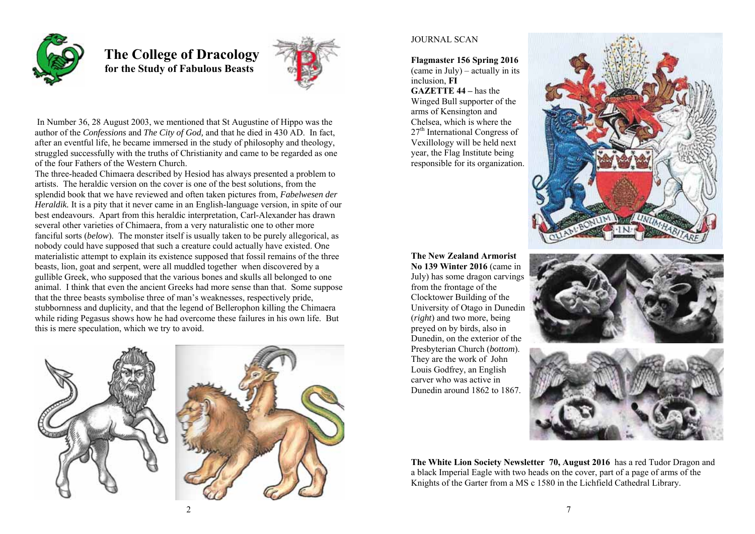

 **The College of Dracology for the Study of Fabulous Beasts** 



 In Number 36, 28 August 2003, we mentioned that St Augustine of Hippo was the author of the *Confessions* and *The City of God,* and that he died in 430 AD. In fact, after an eventful life, he became immersed in the study of philosophy and theology, struggled successfully with the truths of Christianity and came to be regarded as one of the four Fathers of the Western Church.

The three-headed Chimaera described by Hesiod has always presented a problem to artists. The heraldic version on the cover is one of the best solutions, from the splendid book that we have reviewed and often taken pictures from, *Fabelwesen der Heraldik.* It is a pity that it never came in an English-language version, in spite of our best endeavours. Apart from this heraldic interpretation, Carl-Alexander has drawn several other varieties of Chimaera, from a very naturalistic one to other more fanciful sorts (*below*). The monster itself is usually taken to be purely allegorical, as nobody could have supposed that such a creature could actually have existed. One materialistic attempt to explain its existence supposed that fossil remains of the three beasts, lion, goat and serpent, were all muddled together when discovered by a gullible Greek, who supposed that the various bones and skulls all belonged to one animal. I think that even the ancient Greeks had more sense than that. Some suppose that the three beasts symbolise three of man's weaknesses, respectively pride, stubbornness and duplicity, and that the legend of Bellerophon killing the Chimaera while riding Pegasus shows how he had overcome these failures in his own life. But this is mere speculation, which we try to avoid.



## **JOURNAL SCAN**

# **Flagmaster 156 Spring 2016**

(came in July) – actually in its inclusion, **FI GAZETTE 44 –** has the Winged Bull supporter of the arms of Kensington and Chelsea, which is where the 27<sup>th</sup> International Congress of Vexillology will be held next year, the Flag Institute being responsible for its organization.









**The White Lion Society Newsletter 70, August 2016** has a red Tudor Dragon and a black Imperial Eagle with two heads on the cover, part of a page of arms of the Knights of the Garter from a MS c 1580 in the Lichfield Cathedral Library.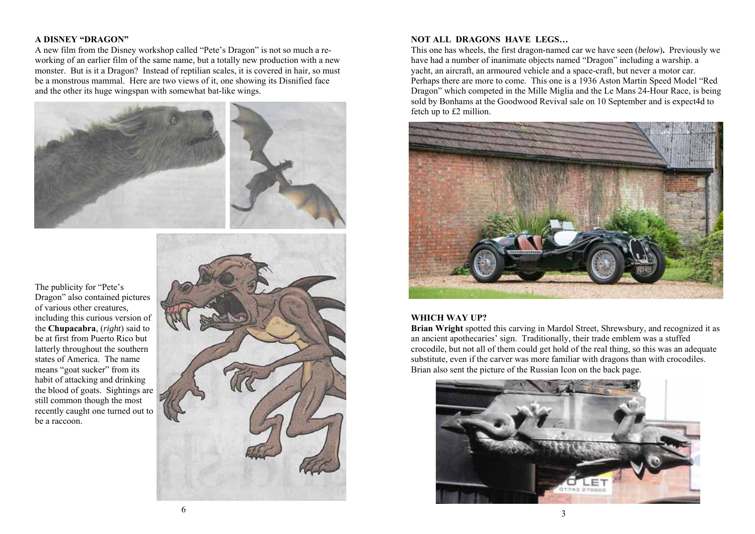#### **A DISNEY "DRAGON"**

A new film from the Disney workshop called "Pete's Dragon" is not so much a reworking of an earlier film of the same name, but a totally new production with a new monster. But is it a Dragon? Instead of reptilian scales, it is covered in hair, so must be a monstrous mammal. Here are two views of it, one showing its Disnified face and the other its huge wingspan with somewhat bat-like wings.



The publicity for "Pete's Dragon" also contained pictures of various other creatures, including this curious version of the **Chupacabra**, (*right*) said to be at first from Puerto Rico but latterly throughout the southern states of America. The name means "goat sucker" from its habit of attacking and drinking the blood of goats. Sightings are still common though the most recently caught one turned out to be a raccoon.



### **NOT ALL DRAGONS HAVE LEGS…**

This one has wheels, the first dragon-named car we have seen (*below*)**.** Previously we have had a number of inanimate objects named "Dragon" including a warship. a yacht, an aircraft, an armoured vehicle and a space-craft, but never a motor car. Perhaps there are more to come. This one is a 1936 Aston Martin Speed Model "Red Dragon" which competed in the Mille Miglia and the Le Mans 24-Hour Race, is being sold by Bonhams at the Goodwood Revival sale on 10 September and is expect4d to fetch up to £2 million.



### **WHICH WAY UP?**

**Brian Wright** spotted this carving in Mardol Street, Shrewsbury, and recognized it as an ancient apothecaries' sign. Traditionally, their trade emblem was a stuffed crocodile, but not all of them could get hold of the real thing, so this was an adequate substitute, even if the carver was more familiar with dragons than with crocodiles. Brian also sent the picture of the Russian Icon on the back page.